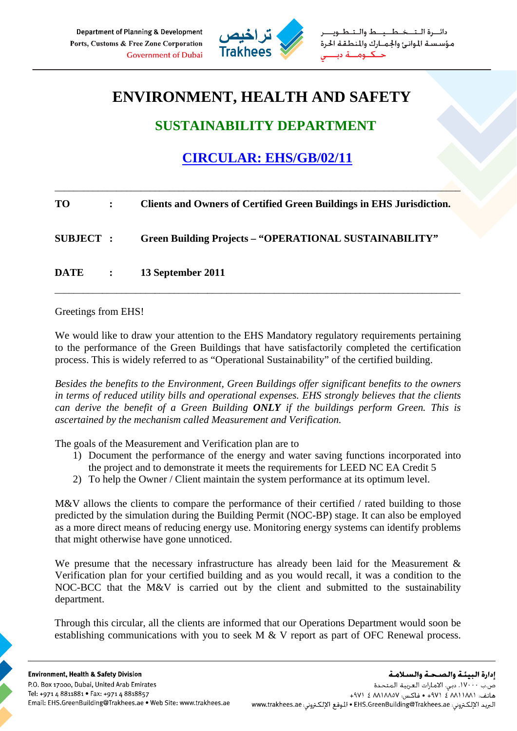

طبيط والت مؤسستة الموانئ والجمارك والمنطقة الحرة حكنوم

## **ENVIRONMENT, HEALTH AND SAFETY**

## **SUSTAINABILITY DEPARTMENT**

## **CIRCULAR: EHS/GB/02/11**

| TO               | $\mathbf{r}$                      | <b>Clients and Owners of Certified Green Buildings in EHS Jurisdiction.</b> |
|------------------|-----------------------------------|-----------------------------------------------------------------------------|
| <b>SUBJECT :</b> |                                   | <b>Green Building Projects - "OPERATIONAL SUSTAINABILITY"</b>               |
| DATE             | $\sim 10^{11}$ and $\sim 10^{11}$ | 13 September 2011                                                           |

\_\_\_\_\_\_\_\_\_\_\_\_\_\_\_\_\_\_\_\_\_\_\_\_\_\_\_\_\_\_\_\_\_\_\_\_\_\_\_\_\_\_\_\_\_\_\_\_\_\_\_\_\_\_\_\_\_\_\_\_\_\_\_\_\_\_\_\_\_\_\_\_\_\_\_\_\_\_\_\_\_\_\_\_\_

## Greetings from EHS!

We would like to draw your attention to the EHS Mandatory regulatory requirements pertaining to the performance of the Green Buildings that have satisfactorily completed the certification process. This is widely referred to as "Operational Sustainability" of the certified building.

\_\_\_\_\_\_\_\_\_\_\_\_\_\_\_\_\_\_\_\_\_\_\_\_\_\_\_\_\_\_\_\_\_\_\_\_\_\_\_\_\_\_\_\_\_\_\_\_\_\_\_\_\_\_\_\_\_\_\_\_\_\_\_\_\_\_\_\_\_\_\_\_\_\_\_\_\_\_\_\_\_\_\_\_\_

*Besides the benefits to the Environment, Green Buildings offer significant benefits to the owners in terms of reduced utility bills and operational expenses. EHS strongly believes that the clients can derive the benefit of a Green Building ONLY if the buildings perform Green. This is ascertained by the mechanism called Measurement and Verification.* 

The goals of the Measurement and Verification plan are to

- 1) Document the performance of the energy and water saving functions incorporated into the project and to demonstrate it meets the requirements for LEED NC EA Credit 5
- 2) To help the Owner / Client maintain the system performance at its optimum level.

M&V allows the clients to compare the performance of their certified / rated building to those predicted by the simulation during the Building Permit (NOC-BP) stage. It can also be employed as a more direct means of reducing energy use. Monitoring energy systems can identify problems that might otherwise have gone unnoticed.

We presume that the necessary infrastructure has already been laid for the Measurement  $\&$ Verification plan for your certified building and as you would recall, it was a condition to the NOC-BCC that the M&V is carried out by the client and submitted to the sustainability department.

Through this circular, all the clients are informed that our Operations Department would soon be establishing communications with you to seek M & V report as part of OFC Renewal process.